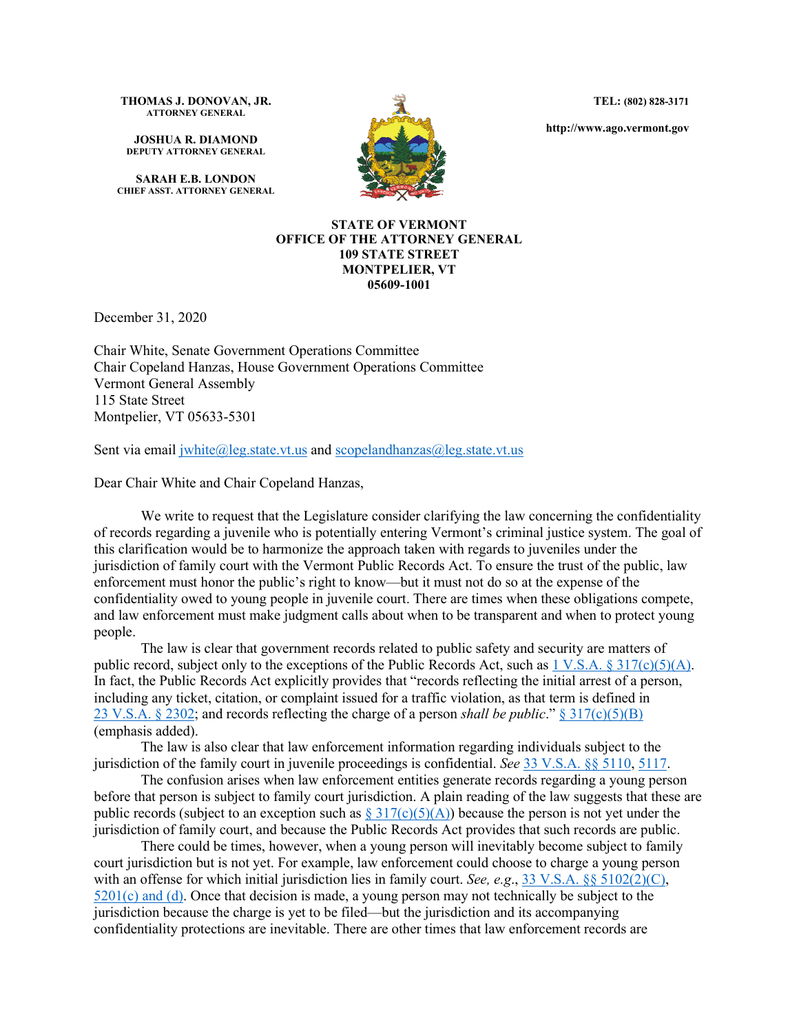**TEL: (802) 828-3171**

**http://www.ago.vermont.gov**

**THOMAS J. DONOVAN, JR. ATTORNEY GENERAL**

**JOSHUA R. DIAMOND DEPUTY ATTORNEY GENERAL**

**SARAH E.B. LONDON CHIEF ASST. ATTORNEY GENERAL**



## **STATE OF VERMONT OFFICE OF THE ATTORNEY GENERAL 109 STATE STREET MONTPELIER, VT 05609-1001**

December 31, 2020

Chair White, Senate Government Operations Committee Chair Copeland Hanzas, House Government Operations Committee Vermont General Assembly 115 State Street Montpelier, VT 05633-5301

Sent via email  $\text{iwhite}(\text{a}|\text{leg.state.vt.us} \text{ and scopelandhanzas}(\text{a}|\text{leg.state.vt.us}$ 

Dear Chair White and Chair Copeland Hanzas,

We write to request that the Legislature consider clarifying the law concerning the confidentiality of records regarding a juvenile who is potentially entering Vermont's criminal justice system. The goal of this clarification would be to harmonize the approach taken with regards to juveniles under the jurisdiction of family court with the Vermont Public Records Act. To ensure the trust of the public, law enforcement must honor the public's right to know—but it must not do so at the expense of the confidentiality owed to young people in juvenile court. There are times when these obligations compete, and law enforcement must make judgment calls about when to be transparent and when to protect young people.

The law is clear that government records related to public safety and security are matters of public record, subject only to the exceptions of the Public Records Act, such as  $1 \text{ V.S.A.} \$   $317 \text{ (c)} \text{ (5)} \text{ (A)}$ . In fact, the Public Records Act explicitly provides that "records reflecting the initial arrest of a person, including any ticket, citation, or complaint issued for a traffic violation, as that term is defined in 23 [V.S.A. § 2302;](https://legislature.vermont.gov/statutes/section/23/024/02302) and records reflecting the charge of a person *shall be public*." [§ 317\(c\)\(5\)\(B\)](https://legislature.vermont.gov/statutes/section/01/005/00317) (emphasis added).

The law is also clear that law enforcement information regarding individuals subject to the jurisdiction of the family court in juvenile proceedings is confidential. *See* [33 V.S.A. §§ 5110,](https://legislature.vermont.gov/statutes/section/33/051/05110) [5117.](https://legislature.vermont.gov/statutes/section/33/051/05117)

The confusion arises when law enforcement entities generate records regarding a young person before that person is subject to family court jurisdiction. A plain reading of the law suggests that these are public records (subject to an exception such as  $\S 317(c)(5)(A)$ ) because the person is not yet under the jurisdiction of family court, and because the Public Records Act provides that such records are public.

There could be times, however, when a young person will inevitably become subject to family court jurisdiction but is not yet. For example, law enforcement could choose to charge a young person with an offense for which initial jurisdiction lies in family court. *See, e.g.*, [33 V.S.A. §§ 5102\(2\)\(C\),](https://legislature.vermont.gov/statutes/section/33/051/05102)  $5201(c)$  and (d). Once that decision is made, a young person may not technically be subject to the jurisdiction because the charge is yet to be filed—but the jurisdiction and its accompanying confidentiality protections are inevitable. There are other times that law enforcement records are